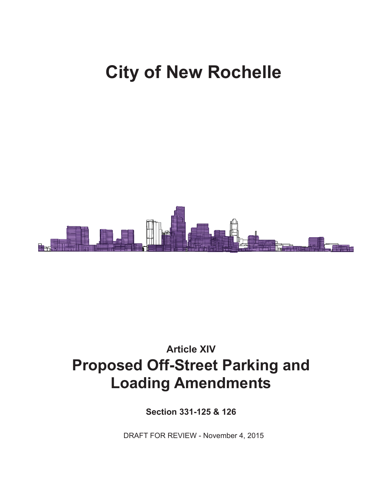# **City of New Rochelle**



## **Article XIV Proposed Off-Street Parking and Loading Amendments**

**Section 331-125 & 126**

DRAFT FOR REVIEW - November 4, 2015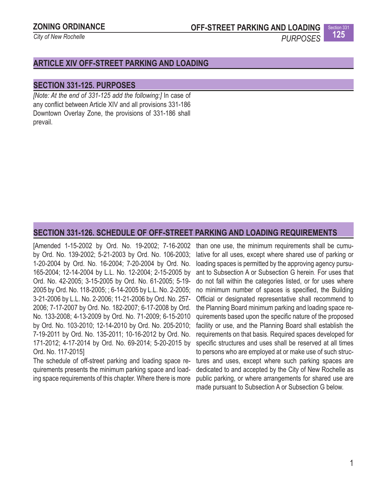## **ZONING ORDINANCE**

*City of New Rochelle*

**OFF-STREET PARKING AND LOADING**

Section 331

**125** *PURPOSES*

## **ARTICLE XIV OFF-STREET PARKING AND LOADING**

## **SECTION 331-125. PURPOSES**

*[Note: At the end of 331-125 add the following:]* In case of any conflict between Article XIV and all provisions 331-186 Downtown Overlay Zone, the provisions of 331-186 shall prevail.

### **SECTION 331-126. SCHEDULE OF OFF-STREET PARKING AND LOADING REQUIREMENTS**

[Amended 1-15-2002 by Ord. No. 19-2002; 7-16-2002 by Ord. No. 139-2002; 5-21-2003 by Ord. No. 106-2003; 1-20-2004 by Ord. No. 16-2004; 7-20-2004 by Ord. No. 165-2004; 12-14-2004 by L.L. No. 12-2004; 2-15-2005 by Ord. No. 42-2005; 3-15-2005 by Ord. No. 61-2005; 5-19- 2005 by Ord. No. 118-2005; ; 6-14-2005 by L.L. No. 2-2005; 3-21-2006 by L.L. No. 2-2006; 11-21-2006 by Ord. No. 257- 2006; 7-17-2007 by Ord. No. 182-2007; 6-17-2008 by Ord. No. 133-2008; 4-13-2009 by Ord. No. 71-2009; 6-15-2010 by Ord. No. 103-2010; 12-14-2010 by Ord. No. 205-2010; 7-19-2011 by Ord. No. 135-2011; 10-16-2012 by Ord. No. 171-2012; 4-17-2014 by Ord. No. 69-2014; 5-20-2015 by Ord. No. 117-2015]

The schedule of off-street parking and loading space requirements presents the minimum parking space and loading space requirements of this chapter. Where there is more

than one use, the minimum requirements shall be cumulative for all uses, except where shared use of parking or loading spaces is permitted by the approving agency pursuant to Subsection A or Subsection G herein. For uses that do not fall within the categories listed, or for uses where no minimum number of spaces is specified, the Building Official or designated representative shall recommend to the Planning Board minimum parking and loading space requirements based upon the specific nature of the proposed facility or use, and the Planning Board shall establish the requirements on that basis. Required spaces developed for specific structures and uses shall be reserved at all times to persons who are employed at or make use of such structures and uses, except where such parking spaces are dedicated to and accepted by the City of New Rochelle as public parking, or where arrangements for shared use are made pursuant to Subsection A or Subsection G below.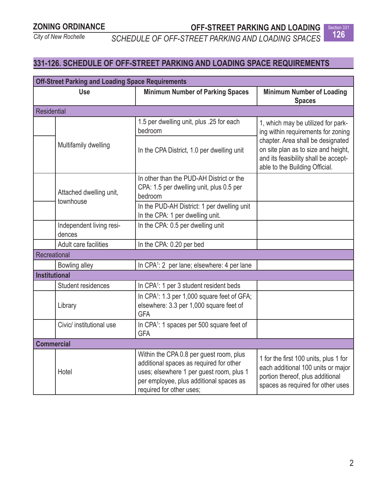**OFF-STREET PARKING AND LOADING**

**126** *SCHEDULE OF OFF-STREET PARKING AND LOADING SPACES*



## **331-126. SCHEDULE OF OFF-STREET PARKING AND LOADING SPACE REQUIREMENTS**

| <b>Off-Street Parking and Loading Space Requirements</b> |                                      |                                                                                                                                                                                                       |                                                                                                                                                                                                                                |  |
|----------------------------------------------------------|--------------------------------------|-------------------------------------------------------------------------------------------------------------------------------------------------------------------------------------------------------|--------------------------------------------------------------------------------------------------------------------------------------------------------------------------------------------------------------------------------|--|
| <b>Use</b>                                               |                                      | <b>Minimum Number of Parking Spaces</b>                                                                                                                                                               | <b>Minimum Number of Loading</b><br><b>Spaces</b>                                                                                                                                                                              |  |
| <b>Residential</b>                                       |                                      |                                                                                                                                                                                                       |                                                                                                                                                                                                                                |  |
|                                                          | Multifamily dwelling                 | 1.5 per dwelling unit, plus .25 for each<br>bedroom                                                                                                                                                   | 1, which may be utilized for park-<br>ing within requirements for zoning<br>chapter. Area shall be designated<br>on site plan as to size and height,<br>and its feasibility shall be accept-<br>able to the Building Official. |  |
|                                                          |                                      | In the CPA District, 1.0 per dwelling unit                                                                                                                                                            |                                                                                                                                                                                                                                |  |
|                                                          | Attached dwelling unit,<br>townhouse | In other than the PUD-AH District or the<br>CPA: 1.5 per dwelling unit, plus 0.5 per<br>bedroom                                                                                                       |                                                                                                                                                                                                                                |  |
|                                                          |                                      | In the PUD-AH District: 1 per dwelling unit<br>In the CPA: 1 per dwelling unit.                                                                                                                       |                                                                                                                                                                                                                                |  |
|                                                          | Independent living resi-<br>dences   | In the CPA: 0.5 per dwelling unit                                                                                                                                                                     |                                                                                                                                                                                                                                |  |
|                                                          | Adult care facilities                | In the CPA: 0.20 per bed                                                                                                                                                                              |                                                                                                                                                                                                                                |  |
| Recreational                                             |                                      |                                                                                                                                                                                                       |                                                                                                                                                                                                                                |  |
|                                                          | Bowling alley                        | In CPA <sup>1</sup> : 2 per lane; elsewhere: 4 per lane                                                                                                                                               |                                                                                                                                                                                                                                |  |
| <b>Institutional</b>                                     |                                      |                                                                                                                                                                                                       |                                                                                                                                                                                                                                |  |
|                                                          | Student residences                   | In CPA <sup>1</sup> : 1 per 3 student resident beds                                                                                                                                                   |                                                                                                                                                                                                                                |  |
|                                                          | Library                              | In CPA <sup>1</sup> : 1.3 per 1,000 square feet of GFA;<br>elsewhere: 3.3 per 1,000 square feet of<br><b>GFA</b>                                                                                      |                                                                                                                                                                                                                                |  |
|                                                          | Civic/ institutional use             | In CPA <sup>1</sup> : 1 spaces per 500 square feet of<br><b>GFA</b>                                                                                                                                   |                                                                                                                                                                                                                                |  |
| <b>Commercial</b>                                        |                                      |                                                                                                                                                                                                       |                                                                                                                                                                                                                                |  |
|                                                          | Hotel                                | Within the CPA 0.8 per guest room, plus<br>additional spaces as required for other<br>uses; elsewhere 1 per guest room, plus 1<br>per employee, plus additional spaces as<br>required for other uses; | 1 for the first 100 units, plus 1 for<br>each additional 100 units or major<br>portion thereof, plus additional<br>spaces as required for other uses                                                                           |  |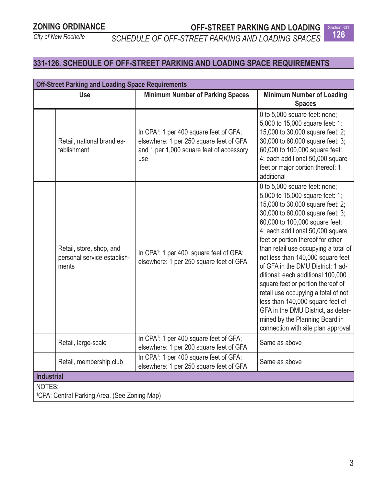**OFF-STREET PARKING AND LOADING** Section 331

**126** *SCHEDULE OF OFF-STREET PARKING AND LOADING SPACES*



## **331-126. SCHEDULE OF OFF-STREET PARKING AND LOADING SPACE REQUIREMENTS**

| <b>Off-Street Parking and Loading Space Requirements</b>         |                                                                                                                                                   |                                                                                                                                                                                                                                                                                                                                                                                                                                                                                                                                                                                                                                          |  |  |
|------------------------------------------------------------------|---------------------------------------------------------------------------------------------------------------------------------------------------|------------------------------------------------------------------------------------------------------------------------------------------------------------------------------------------------------------------------------------------------------------------------------------------------------------------------------------------------------------------------------------------------------------------------------------------------------------------------------------------------------------------------------------------------------------------------------------------------------------------------------------------|--|--|
| <b>Use</b>                                                       | <b>Minimum Number of Parking Spaces</b>                                                                                                           | <b>Minimum Number of Loading</b><br><b>Spaces</b>                                                                                                                                                                                                                                                                                                                                                                                                                                                                                                                                                                                        |  |  |
| Retail, national brand es-<br>tablishment                        | In CPA <sup>1</sup> : 1 per 400 square feet of GFA;<br>elsewhere: 1 per 250 square feet of GFA<br>and 1 per 1,000 square feet of accessory<br>use | 0 to 5,000 square feet: none;<br>5,000 to 15,000 square feet: 1;<br>15,000 to 30,000 square feet: 2;<br>30,000 to 60,000 square feet: 3;<br>60,000 to 100,000 square feet:<br>4; each additional 50,000 square<br>feet or major portion thereof: 1<br>additional                                                                                                                                                                                                                                                                                                                                                                         |  |  |
| Retail, store, shop, and<br>personal service establish-<br>ments | In CPA <sup>1</sup> : 1 per 400 square feet of GFA;<br>elsewhere: 1 per 250 square feet of GFA                                                    | 0 to 5,000 square feet: none;<br>5,000 to 15,000 square feet: 1;<br>15,000 to 30,000 square feet: 2;<br>30,000 to 60,000 square feet: 3;<br>60,000 to 100,000 square feet:<br>4; each additional 50,000 square<br>feet or portion thereof for other<br>than retail use occupying a total of<br>not less than 140,000 square feet<br>of GFA in the DMU District: 1 ad-<br>ditional; each additional 100,000<br>square feet or portion thereof of<br>retail use occupying a total of not<br>less than 140,000 square feet of<br>GFA in the DMU District, as deter-<br>mined by the Planning Board in<br>connection with site plan approval |  |  |
| Retail, large-scale                                              | In CPA <sup>1</sup> : 1 per 400 square feet of GFA;<br>elsewhere: 1 per 200 square feet of GFA                                                    | Same as above                                                                                                                                                                                                                                                                                                                                                                                                                                                                                                                                                                                                                            |  |  |
| Retail, membership club                                          | In CPA <sup>1</sup> : 1 per 400 square feet of GFA;<br>elsewhere: 1 per 250 square feet of GFA                                                    | Same as above                                                                                                                                                                                                                                                                                                                                                                                                                                                                                                                                                                                                                            |  |  |
| <b>Industrial</b>                                                |                                                                                                                                                   |                                                                                                                                                                                                                                                                                                                                                                                                                                                                                                                                                                                                                                          |  |  |
| <b>NOTES:</b>                                                    |                                                                                                                                                   |                                                                                                                                                                                                                                                                                                                                                                                                                                                                                                                                                                                                                                          |  |  |
| <sup>1</sup> CPA: Central Parking Area. (See Zoning Map)         |                                                                                                                                                   |                                                                                                                                                                                                                                                                                                                                                                                                                                                                                                                                                                                                                                          |  |  |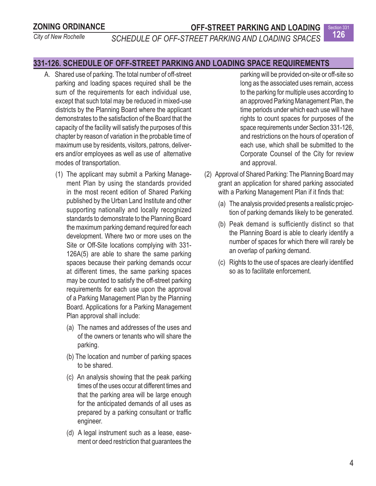## **ZONING ORDINANCE**

## **OFF-STREET PARKING AND LOADING**

*City of New Rochelle*

**126** *SCHEDULE OF OFF-STREET PARKING AND LOADING SPACES*

## **331-126. SCHEDULE OF OFF-STREET PARKING AND LOADING SPACE REQUIREMENTS**

- A. Shared use of parking. The total number of off-street parking and loading spaces required shall be the sum of the requirements for each individual use, except that such total may be reduced in mixed-use districts by the Planning Board where the applicant demonstrates to the satisfaction of the Board that the capacity of the facility will satisfy the purposes of this chapter by reason of variation in the probable time of maximum use by residents, visitors, patrons, deliverers and/or employees as well as use of alternative modes of transportation.
	- (1) The applicant may submit a Parking Management Plan by using the standards provided in the most recent edition of Shared Parking published by the Urban Land Institute and other supporting nationally and locally recognized standards to demonstrate to the Planning Board the maximum parking demand required for each development. Where two or more uses on the Site or Off-Site locations complying with 331- 126A(5) are able to share the same parking spaces because their parking demands occur at different times, the same parking spaces may be counted to satisfy the off-street parking requirements for each use upon the approval of a Parking Management Plan by the Planning Board. Applications for a Parking Management Plan approval shall include:
		- (a) The names and addresses of the uses and of the owners or tenants who will share the parking.
		- (b) The location and number of parking spaces to be shared.
		- (c) An analysis showing that the peak parking times of the uses occur at different times and that the parking area will be large enough for the anticipated demands of all uses as prepared by a parking consultant or traffic engineer.
		- (d) A legal instrument such as a lease, easement or deed restriction that guarantees the

parking will be provided on-site or off-site so long as the associated uses remain, access to the parking for multiple uses according to an approved Parking Management Plan, the time periods under which each use will have rights to count spaces for purposes of the space requirements under Section 331-126, and restrictions on the hours of operation of each use, which shall be submitted to the Corporate Counsel of the City for review and approval.

Section 331

- (2) Approval of Shared Parking: The Planning Board may grant an application for shared parking associated with a Parking Management Plan if it finds that:
	- (a) The analysis provided presents a realistic projection of parking demands likely to be generated.
	- (b) Peak demand is sufficiently distinct so that the Planning Board is able to clearly identify a number of spaces for which there will rarely be an overlap of parking demand.
	- (c) Rights to the use of spaces are clearly identified so as to facilitate enforcement.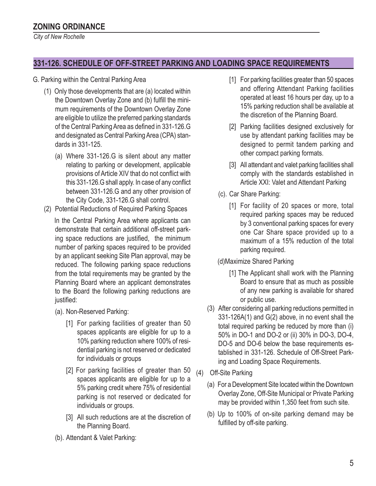*City of New Rochelle*

## **331-126. SCHEDULE OF OFF-STREET PARKING AND LOADING SPACE REQUIREMENTS**

#### G. Parking within the Central Parking Area

- (1) Only those developments that are (a) located within the Downtown Overlay Zone and (b) fulfill the minimum requirements of the Downtown Overlay Zone are eligible to utilize the preferred parking standards of the Central Parking Area as defined in 331-126.G and designated as Central Parking Area (CPA) standards in 331-125.
	- (a) Where 331-126.G is silent about any matter relating to parking or development, applicable provisions of Article XIV that do not conflict with this 331-126.G shall apply. In case of any conflict between 331-126.G and any other provision of the City Code, 331-126.G shall control.
- (2) Potential Reductions of Required Parking Spaces

In the Central Parking Area where applicants can demonstrate that certain additional off-street parking space reductions are justified, the minimum number of parking spaces required to be provided by an applicant seeking Site Plan approval, may be reduced. The following parking space reductions from the total requirements may be granted by the Planning Board where an applicant demonstrates to the Board the following parking reductions are justified:

- (a). Non-Reserved Parking:
	- [1] For parking facilities of greater than 50 spaces applicants are eligible for up to a 10% parking reduction where 100% of residential parking is not reserved or dedicated for individuals or groups
	- [2] For parking facilities of greater than 50 spaces applicants are eligible for up to a 5% parking credit where 75% of residential parking is not reserved or dedicated for individuals or groups.
	- [3] All such reductions are at the discretion of the Planning Board.
- (b). Attendant & Valet Parking:
- [1] For parking facilities greater than 50 spaces and offering Attendant Parking facilities operated at least 16 hours per day, up to a 15% parking reduction shall be available at the discretion of the Planning Board.
- [2] Parking facilities designed exclusively for use by attendant parking facilities may be designed to permit tandem parking and other compact parking formats.
- [3] All attendant and valet parking facilities shall comply with the standards established in Article XXI: Valet and Attendant Parking
- (c). Car Share Parking:
	- [1] For facility of 20 spaces or more, total required parking spaces may be reduced by 3 conventional parking spaces for every one Car Share space provided up to a maximum of a 15% reduction of the total parking required.
- (d)Maximize Shared Parking
	- [1] The Applicant shall work with the Planning Board to ensure that as much as possible of any new parking is available for shared or public use.
- (3) After considering all parking reductions permitted in 331-126A(1) and G(2) above, in no event shall the total required parking be reduced by more than (i) 50% in DO-1 and DO-2 or (ii) 30% in DO-3, DO-4, DO-5 and DO-6 below the base requirements established in 331-126. Schedule of Off-Street Parking and Loading Space Requirements.
- (4) Off-Site Parking
	- (a) For a Development Site located within the Downtown Overlay Zone, Off-Site Municipal or Private Parking may be provided within 1,350 feet from such site.
	- (b) Up to 100% of on-site parking demand may be fulfilled by off-site parking.